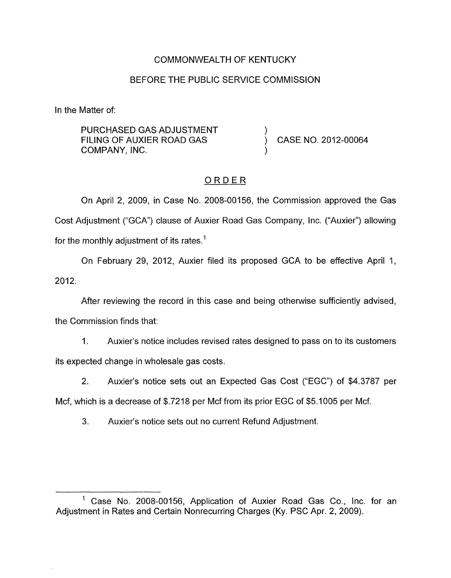# COMMONWEALTH OF KENTUCKY

### BEFORE THE PUBLIC SERVICE COMMISSION

In the Matter of:

PURCHASED GAS ADJUSTMENT FILING OF AUXIER ROAD GAS COMPANY, INC.

) CASE NO. 2012-00064

## ORDER

)

)

On April 2, 2009, in Case No. 2008-00156, the Commission approved the Gas Cost Adjustment ("GCA") clause of Auxier Road Gas Company, Inc. ("Auxier") allowing for the monthly adjustment of its rates.<sup>1</sup>

On February 29, 2012, Auxier filed its proposed GCA to be effective April 1, 2012.

After reviewing the record in this case and being otherwise sufficiently advised, the Commission finds that:

1. Auxier's notice includes revised rates designed to pass on to its customers its expected change in wholesale gas costs.

2. Auxier's notice sets out an Expected Gas Cost ("EGC") of \$4.3787 per

Mcf, which is a decrease of \$.7218 per Mcf from its prior EGC of \$5.1005 per Mcf.

3. Auxier's notice sets out no current Refund Adjustment.

<sup>&</sup>lt;sup>1</sup> Case No. 2008-00156, Application of Auxier Road Gas Co., Inc. for an Adjustment in Rates and Certain Nonrecurring Charges (Ky. PSC Apr. 2, 2009).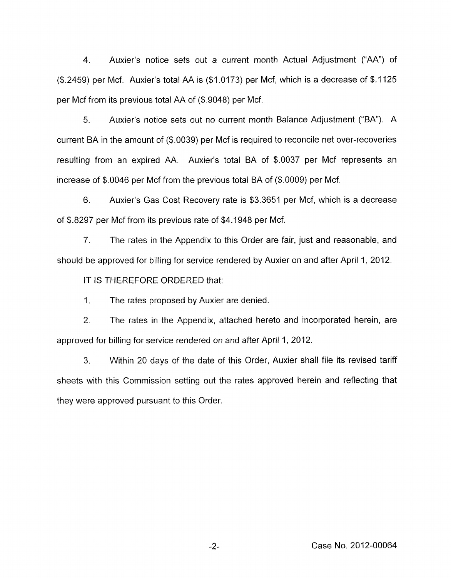4. Auxier's notice sets out a current month Actual Adjustment ("AA") of (\$2459) per Mcf. Auxier's total AA is (\$1.0173) per Mcf, which is a decrease of \$.I125 per Mcf from its previous total AA of (\$.9048) per Mcf.

5. Auxier's notice sets out no current month Balance Adjustment ("BA"). A current BA in the amount of (\$.0039) per Mcf is required to reconcile net over-recoveries resulting from an expired AA. Auxier's total BA of \$.0037 per Mcf represents an increase of \$.0046 per Mcf from the previous total BA of (\$.0009) per Mcf.

6. Auxier's Gas Cost Recovery rate is \$3.3651 per Mcf, which is a decrease of \$.8297 per Mcf from its previous rate of \$4.1948 per Mcf.

7. The rates in the Appendix to this Order are fair, just and reasonable, and should be approved for billing for service rendered by Auxier on and after April 1, 2012.

IT IS THEREFORE ORDERED that:

1. The rates proposed by Auxier are denied.

2. The rates in the Appendix, attached hereto and incorporated herein, are approved for billing for service rendered on and after April 1, 2012.

3. Within 20 days of the date of this Order, Auxier shall file its revised tariff sheets with this Commission setting out the rates approved herein and reflecting that they were approved pursuant to this Order.

-2- Case No. 2012-00064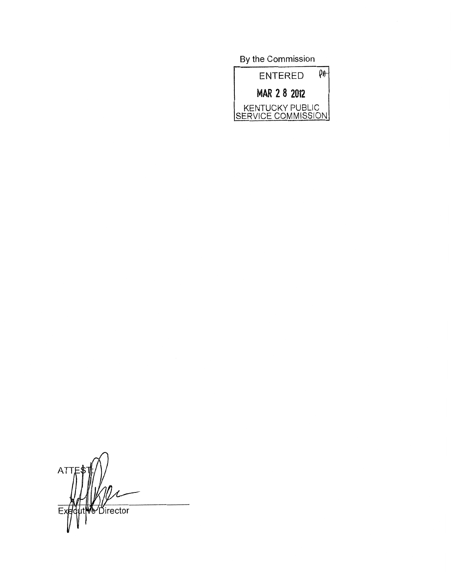**By** the Commission  $\rho_{\theta}$ **ENTERED** MAR 2 8 2012 KENTUCKY PUBLIC<br>SERVICE COMMISSION

ATTE **Director**  $E$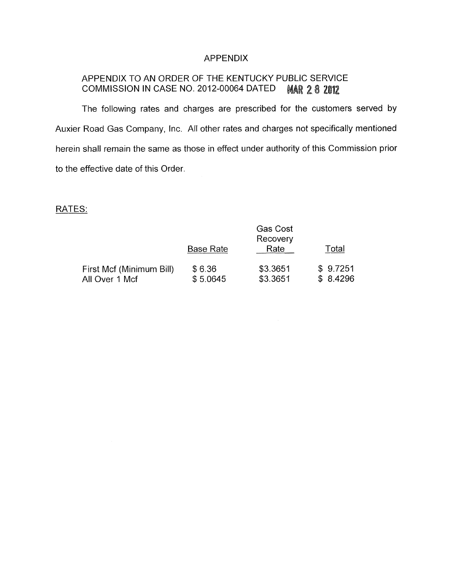## APPENDIX

#### APPENDIX TO AN ORDER OF THE KENTUCKY PUBLIC SERVICE COMMISSION IN CASE NO. 2012-00064 DATED **MAR 28 2012**

The following rates and charges are prescribed for the customers served by Auxier Road Gas Company, lnc. All other rates and charges not specifically mentioned herein shall remain the same as those in effect under authority of this Commission prior to the effective date of this Order.

## RATES:

|                          | <b>Gas Cost</b><br>Recovery |          |          |
|--------------------------|-----------------------------|----------|----------|
|                          | Base Rate                   | Rate     | Total    |
| First Mcf (Minimum Bill) | \$6.36                      | \$3.3651 | \$9.7251 |
| All Over 1 Mcf           | \$5.0645                    | \$3.3651 | \$8.4296 |